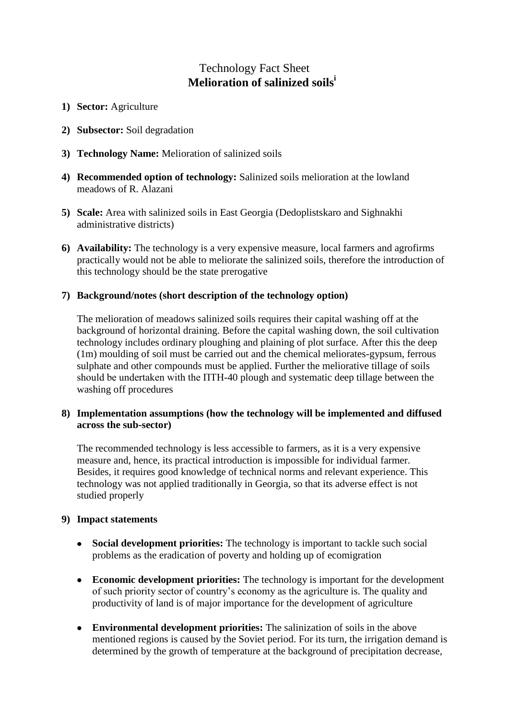# Technology Fact Sheet **Melioration of salinized soils<sup>i</sup>**

- **1) Sector:** Agriculture
- **2) Subsector:** Soil degradation
- **3) Technology Name:** Melioration of salinized soils
- **4) Recommended option of technology:** Salinized soils melioration at the lowland meadows of R. Alazani
- **5) Scale:** Area with salinized soils in East Georgia (Dedoplistskaro and Sighnakhi administrative districts)
- **6) Availability:** The technology is a very expensive measure, local farmers and agrofirms practically would not be able to meliorate the salinized soils, therefore the introduction of this technology should be the state prerogative

### **7) Background/notes (short description of the technology option)**

The melioration of meadows salinized soils requires their capital washing off at the background of horizontal draining. Before the capital washing down, the soil cultivation technology includes ordinary ploughing and plaining of plot surface. After this the deep (1m) moulding of soil must be carried out and the chemical meliorates-gypsum, ferrous sulphate and other compounds must be applied. Further the meliorative tillage of soils should be undertaken with the ПТН-40 plough and systematic deep tillage between the washing off procedures

## **8) Implementation assumptions (how the technology will be implemented and diffused across the sub-sector)**

The recommended technology is less accessible to farmers, as it is a very expensive measure and, hence, its practical introduction is impossible for individual farmer. Besides, it requires good knowledge of technical norms and relevant experience. This technology was not applied traditionally in Georgia, so that its adverse effect is not studied properly

### **9) Impact statements**

- **Social development priorities:** The technology is important to tackle such social  $\bullet$ problems as the eradication of poverty and holding up of ecomigration
- **Economic development priorities:** The technology is important for the development of such priority sector of country's economy as the agriculture is. The quality and productivity of land is of major importance for the development of agriculture
- **Environmental development priorities:** The salinization of soils in the above mentioned regions is caused by the Soviet period. For its turn, the irrigation demand is determined by the growth of temperature at the background of precipitation decrease,